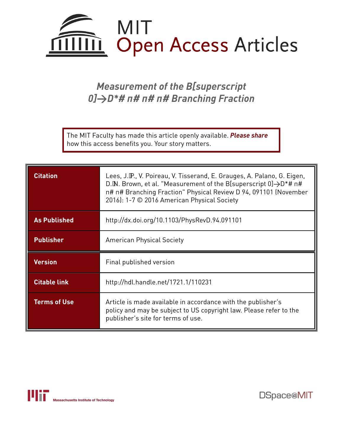

# *Measurement of the B[superscript 0]→D\*# π# π# π# Branching Fraction*

The MIT Faculty has made this article openly available. *[Please](https://libraries.mit.edu/forms/dspace-oa-articles.html) share* how this access benefits you. Your story matters.

| <b>Citation</b>     | Lees, J.P., V. Poireau, V. Tisserand, E. Grauges, A. Palano, G. Eigen,<br>D. M. Brown, et al. "Measurement of the B[superscript 0] → D*# n#<br>n# n# Branching Fraction" Physical Review D 94, 091101 (November<br>2016): 1-7 © 2016 American Physical Society |  |
|---------------------|----------------------------------------------------------------------------------------------------------------------------------------------------------------------------------------------------------------------------------------------------------------|--|
| <b>As Published</b> | http://dx.doi.org/10.1103/PhysRevD.94.091101                                                                                                                                                                                                                   |  |
| <b>Publisher</b>    | <b>American Physical Society</b>                                                                                                                                                                                                                               |  |
|                     |                                                                                                                                                                                                                                                                |  |
| <b>Version</b>      | Final published version                                                                                                                                                                                                                                        |  |
| <b>Citable link</b> | http://hdl.handle.net/1721.1/110231                                                                                                                                                                                                                            |  |



DSpace@MIT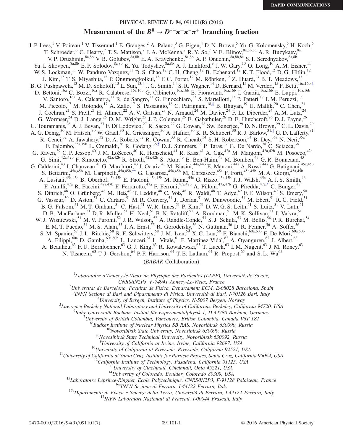## PHYSICAL REVIEW D 94, 091101(R) (2016)

# Measurement of the  $B^0 \to D^{*-}\pi^+\pi^-\pi^+$  branching fraction

<span id="page-1-4"></span><span id="page-1-3"></span><span id="page-1-2"></span><span id="page-1-1"></span>J. P. Lees,<sup>1</sup> V. Poireau,<sup>1</sup> V. Tisserand,<sup>1</sup> E. Grauges,<sup>2</sup> A. Palano,<sup>3</sup> G. Eigen,<sup>4</sup> D. N. Brown,<sup>5</sup> Yu. G. Kolomensky,<sup>5</sup> H. Koch,<sup>6</sup> T. Schroeder, <sup>6</sup> C. Hearty, <sup>7</sup> T. S. Mattison, <sup>7</sup> J. A. McKenna, <sup>7</sup> R. Y. So, <sup>7</sup> V. E. Blinov,  $8a,8b,8c$  A. R. Buzykaev,  $8a$ V. P. Druzhinin,<sup>8a,8b</sup> V. B. Golubev,<sup>8a,8b</sup> E. A. Kravchenko,<sup>8a,8b</sup> A. P. Onuchin,<sup>8a,8b,8c</sup> S. I. Serednyakov,<sup>8a,8b</sup> Yu. I. Skovpen,  $8a,8b$  E. P. Solodov,  $8a,8b$  K. Yu. Todyshev,  $8a,8b$  A. J. Lankford,  $9$  J. W. Gary,  $10$  O. Long,  $10$  A. M. Eisner,  $11$ W. S. Lockman, <sup>11</sup> W. Panduro Vazquez, <sup>11</sup> D. S. Chao, <sup>12</sup> C. H. Cheng, <sup>12</sup> B. Echenard, <sup>12</sup> K. T. Flood, <sup>12</sup> D. G. Hitlin, <sup>12</sup> J. Kim,  $^{12}$  T. S. Miyashita,  $^{12}$  P. Ongmongkolkul,  $^{12}$  F. C. Porter,  $^{12}$  M. Röhrken,  $^{12}$  Z. Huard,  $^{13}$  B. T. Meadows,  $^{13}$ B. G. Pushpawela,<sup>13</sup> M. D. Sokoloff,<sup>13</sup> L. Sun,<sup>13,[†](#page-3-0)</sup> J. G. Smith,<sup>14</sup> S. R. Wagner,<sup>14</sup> D. Bernard,<sup>15</sup> M. Verderi,<sup>15</sup> F. Betti,<sup>16a,16b,[‡](#page-3-1)</sup> D. Bettoni,<sup>16a</sup> C. Bozzi,<sup>16a</sup> R. Calabrese,<sup>16a,16b</sup> G. Cibinetto,<sup>16a,16b</sup> E. Fioravanti,<sup>16a,16b</sup> I. Garzia,<sup>16a,16b</sup> E. Luppi,<sup>16a,16b</sup> V. Santoro,<sup>16a</sup> A. Calcaterra,<sup>17</sup> R. de Sangro,<sup>17</sup> G. Finocchiaro,<sup>17</sup> S. Martellotti,<sup>17</sup> P. Patteri,<sup>17</sup> I. M. Peruzzi,<sup>17</sup> M. Piccolo,  $^{17}$  M. Rotondo,  $^{17}$  A. Zallo,  $^{17}$  S. Passaggio,  $^{18}$  C. Patrignani,  $^{18,8}$  B. Bhuyan,  $^{19}$  U. Mallik,  $^{20}$  C. Chen,  $^{21}$ J. Cochran, <sup>21</sup> S. Prell, <sup>21</sup> H. Ahmed, <sup>22</sup> A. V. Gritsan, <sup>23</sup> N. Arnaud, <sup>24</sup> M. Davier, <sup>24</sup> F. Le Diberder, <sup>24</sup> A. M. Lutz, <sup>24</sup> G. Wormser,  $^{24}$  D. J. Lange,  $^{25}$  D. M. Wright,  $^{25}$  J. P. Coleman,  $^{26}$  E. Gabathuler,  $^{26}$  D. E. Hutchcroft,  $^{26}$  D. J. Payne,  $^{26}$ C. Touramanis,<sup>26</sup> A. J. Bevan,<sup>27</sup> F. Di Lodovico,<sup>27</sup> R. Sacco,<sup>27</sup> G. Cowan,<sup>28</sup> Sw. Banerjee,<sup>29</sup> D. N. Brown,<sup>29</sup> C. L. Davis,<sup>29</sup> A. G. Denig,<sup>30</sup> M. Fritsch,<sup>30</sup> W. Gradl,<sup>30</sup> K. Griessinger,<sup>30</sup> A. Hafner,<sup>30</sup> K. R. Schubert,<sup>30</sup> R. J. Barlow,<sup>31,[∥](#page-3-3)</sup> G. D. Lafferty,<sup>31</sup> R. Cenci,  $32$  A. Jawahery,  $32$  D. A. Roberts,  $32$  R. Cowan,  $33$  R. Cheaib,  $34$  S. H. Robertson,  $34$  B. Dey,  $35a$  N. Neri,  $35a$ F. Palombo,  $^{35a,35b}$  L. Cremaldi,  $^{36}$  R. Godang,  $^{36}$ , D. J. Summers,  $^{36}$  P. Taras,  $^{37}$  G. De Nardo,  $^{38}$  C. Sciacca,  $^{38}$ G. Raven,<sup>39</sup> C. P. Jessop,<sup>40</sup> J. M. LoSecco,<sup>40</sup> K. Honscheid,<sup>41</sup> R. Kass,<sup>41</sup> A. Gaz,<sup>42a</sup> M. Margoni,<sup>42a,42b</sup> M. Posocco,<sup>42a</sup> G. Simi,  $4^{2a,42b}$  F. Simonetto,  $4^{2a,42b}$  R. Stroili,  $4^{2a,42b}$  S. Akar,  $4^{3}$  E. Ben-Haim,  $4^{3}$  M. Bomben,  $4^{3}$  G. R. Bonneaud,  $4^{43}$ G. Calderini,<sup>43</sup> J. Chauveau,<sup>43</sup> G. Marchiori,<sup>43</sup> J. Ocariz,<sup>43</sup> M. Biasini,<sup>44a,44b</sup> E. Manoni,<sup>44a</sup> A. Rossi,<sup>44a</sup> G. Batignani,<sup>45a,45b</sup> S. Bettarini,<sup>45a,45b</sup> M. Carpinelli,<sup>45a,45b[,\\*\\*](#page-3-5)</sup> G. Casarosa,<sup>45a,45b</sup> M. Chrzaszcz,<sup>45a</sup> F. Forti,<sup>45a,45b</sup> M. A. Giorgi,<sup>45a,45b</sup> A. Lusiani,<sup>45a,45c</sup> B. Oberhof,<sup>45a,45b</sup> E. Paoloni,<sup>45a,45b</sup> M. Rama,<sup>45a</sup> G. Rizzo,<sup>45a,45b</sup> J. J. Walsh,<sup>45a</sup> A. J. S. Smith,<sup>46</sup> F. Anulli,<sup>47a</sup> R. Faccini,<sup>47a,47b</sup> F. Ferrarotto,<sup>47a</sup> F. Ferroni,<sup>47a,47b</sup> A. Pilloni,<sup>47a,47b</sup> G. Piredda,<sup>47[a,\\*](#page-3-6)</sup> C. Bünger,<sup>48</sup> S. Dittrich,<sup>48</sup> O. Grünberg,<sup>48</sup> M. Heß,<sup>48</sup> T. Leddig,<sup>48</sup> C. Voß,<sup>48</sup> R. Waldi,<sup>48</sup> T. Adye,<sup>49</sup> F. F. Wilson,<sup>49</sup> S. Emery, 50 G. Vasseur,<sup>50</sup> D. Aston,<sup>51</sup> C. Cartaro,<sup>51</sup> M. R. Convery,<sup>51</sup> J. Dorfan,<sup>51</sup> W. Dunwoodie,<sup>51</sup> M. Ebert,<sup>51</sup> R. C. Field,<sup>51</sup> B. G. Fulsom,  $51$  M. T. Graham,  $51$  C. Hast,  $51$  W. R. Innes,  $51$  P. Kim,  $51$  D. W. G. S. Leith,  $51$  S. Luitz,  $51$  V. Luth,  $51$ D. B. MacFarlane,  $51$  D. R. Muller,  $51$  H. Neal,  $51$  B. N. Ratcliff,  $51$  A. Roodman,  $51$  M. K. Sullivan,  $51$  J. Va'vra,  $51$ W. J. Wisniewski,<sup>51</sup> M. V. Purohit,<sup>52</sup> J. R. Wilson,<sup>52</sup> A. Randle-Conde,<sup>53</sup> S. J. Sekula,<sup>53</sup> M. Bellis,<sup>54</sup> P. R. Burchat,<sup>54</sup> E. M. T. Puccio,<sup>54</sup> M. S. Alam,<sup>55</sup> J. A. Ernst,<sup>55</sup> R. Gorodeisky,<sup>56</sup> N. Guttman,<sup>56</sup> D. R. Peimer,<sup>56</sup> A. Soffer,<sup>56</sup> S. M. Spanier, <sup>57</sup> J. L. Ritchie, <sup>58</sup> R. F. Schwitters, <sup>58</sup> J. M. Izen, <sup>59</sup> X. C. Lou, <sup>59</sup> F. Bianchi, <sup>60a, 60b</sup> F. De Mori, <sup>60a, 60b</sup> A. Filippi,  $^{60a}$  D. Gamba,  $^{60a,60b}$  L. Lanceri,  $^{61}$  L. Vitale,  $^{61}$  F. Martinez-Vidal,  $^{62}$  A. Oyanguren,  $^{62}$  J. Albert,  $^{63}$ A. Beaulieu,<sup>63</sup> F. U. Bernlochner,<sup>63</sup> G. J. King,<sup>63</sup> R. Kowalewski,<sup>63</sup> T. Lueck,<sup>63</sup> I. M. Nugent,<sup>63</sup> J. M. Roney,<sup>63</sup> N. Tasneem,<sup>63</sup> T. J. Gershon,<sup>64</sup> P. F. Harrison,<sup>64</sup> T. E. Latham,<sup>64</sup> R. Prepost,<sup>65</sup> and S. L. Wu<sup>65</sup>

(BABAR Collaboration)

<span id="page-1-5"></span><span id="page-1-0"></span> ${}^{1}$ Laboratoire d'Annecy-le-Vieux de Physique des Particules (LAPP), Université de Savoie,

CNRS/IN2P3, F-74941 Annecy-Le-Vieux, France <sup>2</sup>

 $U^2$ Universitat de Barcelona, Facultat de Fisica, Departament ECM, E-08028 Barcelona, Spain

<sup>3</sup>INFN Sezione di Bari and Dipartimento di Fisica, Università di Bari, I-70126 Bari, Italy  $^{4}$ Ilniversity of Bargan, Institute of Bhysics, N 5007 Bargan, Norway

<sup>4</sup>University of Bergen, Institute of Physics, N-5007 Bergen, Norway

<sup>5</sup>Lawrence Berkeley National Laboratory and University of California, Berkeley, California 94720, USA

<sup>6</sup>Ruhr Universität Bochum, Institut für Experimentalphysik 1, D-44780 Bochum, Germany<br><sup>7</sup>University of British Columbia, Vancouver, British Columbia, Canada V6T 1Z1

<sup>8a</sup>Budker Institute of Nuclear Physics SB RAS, Novosibirsk 630090, Russia<br><sup>8b</sup>Novosibirsk State University, Novosibirsk 630090, Russia<br><sup>8c</sup>Novosibirsk State Technical University, Novosibirsk 630092, Russia

<sup>9</sup>University of California at Irvine, Irvine, California 92697, USA

<sup>10</sup>University of California at Riverside, Riverside, California 92521, USA<br><sup>11</sup>University of California at Santa Cruz, Institute for Particle Physics, Santa Cruz, California 95064, USA<br><sup>12</sup>California Institute of Technol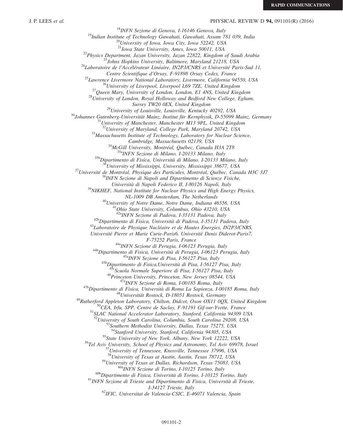#### J. P. LEES et al. PHYSICAL REVIEW D 94, 091101(R) (2016)

<sup>18</sup>INFN Sezione di Genova, I-16146 Genova, Italy<br><sup>19</sup>Indian Institute of Technology Guwahati, Guwahati, Assam 781 039, India<br><sup>20</sup>University of Iowa, Iowa City, Iowa 52242, USA<br><sup>21</sup>Iowa State University, Ames, Iowa 50011, <sup>22</sup>Physics Department, Jazan University, Jazan 22822, Kingdom of Saudi Arabia<br><sup>23</sup>Johns Hopkins University, Baltimore, Maryland 21218, USA<br><sup>24</sup>Laboratoire de l'Accélérateur Linéaire, IN2P3/CNRS et Université Paris-Sud 11 <sup>25</sup> Lawrence Livermore National Laboratory, Livermore, California 94550, USA<br><sup>26</sup> University of Liverpool, Liverpool L69 7ZE, United Kingdom<br><sup>27</sup> Queen Mary, University of London, London, E1 4NS, United Kingdom<br><sup>28</sup> Univ Surrey TW20 0EX, United Kingdom<br><sup>29</sup>University of Louisville, Louisville, Kentucky 40292, USA<br><sup>30</sup>Johannes Gutenberg-Universität Mainz, Institut für Kernphysik, D-55099 Mainz, Germany<br><sup>31</sup>University of Manchester, Manchest  $33$ Massachusetts Institute of Technology, Laboratory for Nuclear Science, Cambridge, Massachusetts 02139, USA<br><sup>34</sup>McGill University, Montréal, Québec, Canada H3A 2T8<br><sup>35b</sup>Dipartimento di Fisica, Università di Milano, I-20133 Milano, Italy<br><sup>35b</sup>Dipartimento di Fisica, Università di Milano, I-2013 <sup>37</sup>Université de Montréal, Physique des Particules, Montréal, Québec, Canada H3C 3J7 <sup>38</sup>INFN Sezione di Napoli and Dipartimento di Scienze Fisiche, Università di Napoli Federico II, I-80126 Napoli, Italy<br><sup>39</sup>NIKHEF, National Institute for Nuclear Physics and High Energy Physics, <sup>40</sup>University of Notre Dame, Notre Dame, Indiana 46556, USA<br><sup>41</sup>Ohio State University, Columbus, Ohio 43210, USA<br><sup>42</sup>AINFN Sezione di Padova, I-35131 Padova, Italy <sup>42b</sup>Dipartimento di Fisica, Università di Padova, I-35131 Padova, Italy<br><sup>43</sup>Laboratoire de Physique Nucléaire et de Hautes Energies, IN2P3/CNRS, Université Pierre et Marie Curie-Paris6, Université Denis Diderot-Paris7, F-75252 Paris, France<br><sup>44a</sup>INFN Sezione di Perugia, 1-06123 Perugia, Italy<br><sup>44b</sup>Dipartimento di Fisica, Università di Perugia, 1-06123 Perugia, Italy<br><sup>45a</sup>INFN Sezione di Pisa, 1-56127 Pisa, Italy<br><sup>45b</sup>Dipartimento di Fisi <sup>46</sup>Princeton University, Princeton, New Jersey 08544, USA<br><sup>47b</sup>Dipartimento di Fisica, Università di Roma, I-00185 Roma, Italy<br><sup>47b</sup>Dipartimento di Fisica, Università di Roma La Sapienza, I-00185 Roma, Italy<br><sup>48</sup>Universi <sup>52</sup>University of South Carolina, Columbia, South Carolina 29208, USA<br><sup>53</sup>Southern Methodist University, Dallas, Texas 75275, USA<br><sup>54</sup>Stanford University, Stanford, California 94305, USA <sup>55</sup>State University of New York, Albany, New York 12222, USA<br><sup>56</sup>Tel Aviv University, School of Physics and Astronomy, Tel Aviv 69978, Israel<br><sup>57</sup>University of Tennessee, Knoxville, Tennessee 37996, USA  $^{58}$ University of Texas at Austin, Austin, Texas 78712, USA<br> $^{59}$ University of Texas at Dallas, Richardson, Texas 75083, USA <sup>60a</sup>INEN Sezione di Torino, I-10125 Torino, Italy<br><sup>60b</sup>Dipartimento di Fisica, Università di Torino, I-10125 Torino, Italy<br><sup>61</sup>INEN Sezione di Trieste and Dipartimento di Fisica, Università di Trieste, I-34127 Trieste, Italy<br><sup>62</sup>IFIC, Universitat de Valencia-CSIC, E-46071 Valencia, Spain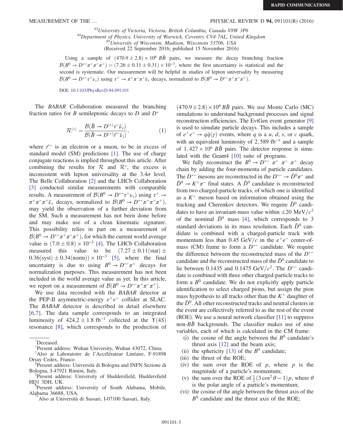#### MEASUREMENT OF THE ... THE SUBSERVIEW D 94, 091101(R) (2016)

<sup>63</sup>University of Victoria, Victoria, British Columbia, Canada V8W 3P6<br><sup>64</sup>Department of Physics, University of Warwick, Coventry CV4 7AL, United Kingdom<br><sup>65</sup>University of Wisconsin, Madison, Wisconsin 53706, USA

(Received 22 September 2016; published 15 November 2016)

Using a sample of  $(470.9 \pm 2.8) \times 10^6$  BB pairs, we measure the decay branching fraction  $\mathcal{B}(B^0 \to D^{*-}\pi^+\pi^-\pi^+) = (7.26 \pm 0.11 \pm 0.31) \times 10^{-3}$ , where the first uncertainty is statistical and the second is systematic. Our measurement will be helpful in studies of lepton universality by measuring  $\mathcal{B}(B^0 \to D^{*-}\tau^+\nu_{\tau})$  using  $\tau^+ \to \pi^+\pi^-\pi^+\bar{\nu}_{\tau}$  decays, normalized to  $\mathcal{B}(B^0 \to D^{*-}\pi^+\pi^-\pi^+)$ .

DOI: [10.1103/PhysRevD.94.091101](http://dx.doi.org/10.1103/PhysRevD.94.091101)

The BABAR Collaboration measured the branching fraction ratios for B semileptonic decays to D and  $D^*$ 

$$
\mathcal{R}^{(*)} = \frac{\mathcal{B}(\bar{B} \to D^{(*)}\tau^- \bar{\nu}_\tau)}{\mathcal{B}(\bar{B} \to D^{(*)}\ell^- \bar{\nu}_l)},\tag{1}
$$

where  $\ell^-$  is an electron or a muon, to be in excess of standard model (SM) predictions [\[1\].](#page-7-0) The use of charge conjugate reactions is implied throughout this article. After combining the results for  $R$  and  $R^*$ , the excess is inconsistent with lepton universality at the  $3.4\sigma$  level. The Belle Collaboration [\[2\]](#page-7-1) and the LHCb Collaboration [\[3\]](#page-7-2) conducted similar measurements with comparable results. A measurement of  $\mathcal{B}(B^0 \to D^{*-}\tau^+\nu_{\tau})$  using  $\tau^+ \to$  $\pi^+\pi^-\pi^+\bar{\nu}_{\tau}$  decays, normalized to  $\mathcal{B}(B^0 \to D^{*-}\pi^+\pi^-\pi^+)$ , may yield the observation of a further deviation from the SM. Such a measurement has not been done before and may make use of a clean kinematic signature. This possibility relies in part on a measurement of  $B(B^0 \to D^{*-}\pi^+\pi^-\pi^+)$ , for which the current world average value is  $(7.0 \pm 0.8) \times 10^{-3}$  [\[4\]](#page-7-3). The LHCb Collaboration measured this value to be  $(7.27 \pm 0.11 \text{ (stat)} \pm$  $0.36$ (syst)  $\pm 0.34$ (norm)) × 10<sup>-3</sup> [\[5\],](#page-7-4) where the final uncertainty is due to using  $B^0 \to D^{*-}\pi^+$  decays for normalization purposes. This measurement has not been included in the world average value as yet. In this article, we report on a measurement of  $\mathcal{B}(B^0 \to D^{*-}\pi^+\pi^-\pi^+)$ .

We use data recorded with the BABAR detector at the PEP-II asymmetric-energy  $e^+e^-$  collider at SLAC. The BABAR detector is described in detail elsewhere [\[6,7\]](#page-7-5). The data sample corresponds to an integrated luminosity of  $424.2 \pm 1.8$  fb<sup>-1</sup> collected at the  $\Upsilon(4S)$ resonance [\[8\],](#page-7-6) which corresponds to the production of

 $(470.9 \pm 2.8) \times 10^6$  BB pairs. We use Monte Carlo (MC) simulations to understand background processes and signal reconstruction efficiencies. The EvtGen event generator [\[9\]](#page-7-7) is used to simulate particle decays. This includes a sample of  $e^+e^- \rightarrow q\bar{q}(\gamma)$  events, where q is a u, d, s, or c quark, with an equivalent luminosity of 2,589 fb<sup>-1</sup> and a sample of  $1,427 \times 10^6$  BB pairs. The detector response is simulated with the Geant4 [\[10\]](#page-7-8) suite of programs.

We fully reconstruct the  $B^0 \to D^{*-} \pi^+ \pi^- \pi^+$  decay chain by adding the four-momenta of particle candidates. The D<sup>\*-</sup> mesons are reconstructed in the  $D^{*-} \to \bar{D}^0 \pi^-$  and  $\overline{D}^0 \rightarrow K^+\pi^-$  final states. A  $\overline{D}^0$  candidate is reconstructed from two charged-particle tracks, of which one is identified as a  $K^+$  meson based on information obtained using the tracking and Cherenkov detectors. We require  $\bar{D}^0$  candidates to have an invariant-mass value within  $\pm 20$  MeV/ $c^2$ of the nominal  $\bar{D}^0$  mass [\[4\],](#page-7-3) which corresponds to 3 standard deviations in its mass resolution. Each  $\bar{D}^0$  candidate is combined with a charged-particle track with momentum less than 0.45 GeV/c in the  $e^+e^-$  center-ofmass (CM) frame to form a  $D^{*-}$  candidate. We require the difference between the reconstructed mass of the  $D^{*-}$ candidate and the reconstructed mass of the  $\bar{D}^0$  candidate to lie between 0.1435 and 0.1475 GeV/ $c^2$ . The D<sup>\*-</sup> candidate is combined with three other charged-particle tracks to form a  $B^0$  candidate. We do not explicitly apply particle identification to select charged pions, but assign the pion mass hypothesis to all tracks other than the  $K^+$  daughter of the  $\bar{D}^0$ . All other reconstructed tracks and neutral clusters in the event are collectively referred to as the rest of the event (ROE). We use a neural network classifier [\[11\]](#page-7-9) to suppress non- $B\bar{B}$  backgrounds. The classifier makes use of nine variables, each of which is calculated in the CM frame:

- (i) the cosine of the angle between the  $B^0$  candidate's thrust axis [\[12\]](#page-7-10) and the beam axis;
- (ii) the sphericity [\[13\]](#page-7-11) of the  $B^0$  candidate;
- (iii) the thrust of the ROE;
- (iv) the sum over the ROE of  $p$ , where  $p$  is the magnitude of a particle's momentum;
- (v) the sum over the ROE of  $\frac{1}{2}$  (3 cos<sup>2</sup>  $\theta$  1) p, where  $\theta$ is the polar angle of a particle's momentum;
- (vi) the cosine of the angle between the thrust axis of the  $B<sup>0</sup>$  candidate and the thrust axis of the ROE;

<span id="page-3-6"></span>[<sup>\\*</sup>](#page-1-0) Deceased.

<span id="page-3-0"></span>[<sup>†</sup>](#page-1-1) Present address: Wuhan University, Wuhan 43072, China.

<span id="page-3-1"></span>[<sup>‡</sup>](#page-1-1) Also at Laboratoire de l'Accélérateur Linéaire, F-91898 Orsay Cedex, France.

<span id="page-3-2"></span>Present address: Università di Bologna and INFN Sezione di Bologna, I-47921 Rimini, Italy.

<span id="page-3-3"></span>Present address: University of Huddersfield, Huddersfield HD1 3DH, UK.

<span id="page-3-4"></span>Present address: University of South Alabama, Mobile, Alabama 36688, USA.

<span id="page-3-5"></span>Also at Università di Sassari, I-07100 Sassari, Italy.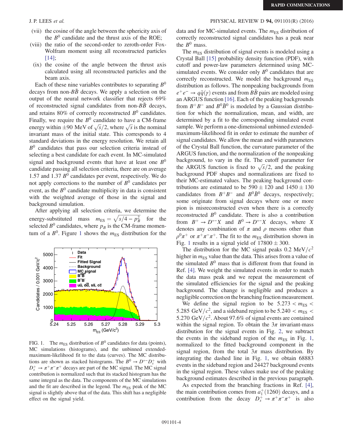- (vii) the cosine of the angle between the sphericity axis of the  $B<sup>0</sup>$  candidate and the thrust axis of the ROE;
- (viii) the ratio of the second-order to zeroth-order Fox-Wolfram moment using all reconstructed particles [\[14\]](#page-7-12);
- (ix) the cosine of the angle between the thrust axis calculated using all reconstructed particles and the beam axis.

Each of these nine variables contributes to separating  $B^0$ decays from non- $B\bar{B}$  decays. We apply a selection on the output of the neural network classifier that rejects 69% of reconstructed signal candidates from non- $B\bar{B}$  decays, and retains 80% of correctly reconstructed  $B^0$  candidates. Finally, we require the  $B^0$  candidate to have a CM-frame Finally, we require the  $B^{\circ}$  candidate to have a CM-frame<br>energy within  $\pm 90$  MeV of  $\sqrt{s}/2$ , where  $\sqrt{s}$  is the nominal invariant mass of the initial state. This corresponds to 4 standard deviations in the energy resolution. We retain all  $B<sup>0</sup>$  candidates that pass our selection criteria instead of selecting a best candidate for each event. In MC-simulated signal and background events that have at least one  $B^0$ candidate passing all selection criteria, there are on average 1.57 and 1.37  $B<sup>0</sup>$  candidates per event, respectively. We do not apply corrections to the number of  $B^0$  candidates per event, as the  $B<sup>0</sup>$  candidate multiplicity in data is consistent with the weighted average of those in the signal and background simulation.

After applying all selection criteria, we determine the After applying all selection criteria, we determine the<br>energy-substituted mass  $m_{ES} = \sqrt{s/4 - p_B^2}$  for the selected  $B^0$  candidates, where  $p_B$  is the CM-frame momentum of a  $B^0$ . Figure [1](#page-4-0) shows the  $m_{ES}$  distribution for the

<span id="page-4-0"></span>

FIG. 1. The  $m_{ES}$  distribution of  $B^0$  candidates for data (points), MC simulations (histograms), and the unbinned extendedmaximum-likelihood fit to the data (curves). The MC distributions are shown as stacked histograms. The  $B^0 \to D^{*-}D_s^+$  with  $D_s^+ \to \pi^+ \pi^- \pi^+$  decays are part of the MC signal. The MC signal contribution is normalized such that its stacked histogram has the same integral as the data. The components of the MC simulations and the fit are described in the legend. The  $m_{ES}$  peak of the MC signal is slightly above that of the data. This shift has a negligible effect on the signal yield.

# J. P. LEES et al. PHYSICAL REVIEW D 94, 091101(R) (2016)

data and for MC-simulated events. The  $m_{ES}$  distribution of correctly reconstructed signal candidates has a peak near the  $B^0$  mass.

The  $m_{ES}$  distribution of signal events is modeled using a Crystal Ball [\[15\]](#page-7-13) probability density function (PDF), with cutoff and power-law parameters determined using MCsimulated events. We consider only  $B^0$  candidates that are correctly reconstructed. We model the background  $m_{ES}$ distribution as follows. The nonpeaking backgrounds from  $e^+e^- \rightarrow q\bar{q}(\gamma)$  events and from  $B\bar{B}$  pairs are modeled using an ARGUS function [\[16\]](#page-7-14). Each of the peaking backgrounds from  $B^+B^-$  and  $B^0\bar{B}^0$  is modeled by a Gaussian distribution for which the normalization, mean, and width, are determined by a fit to the corresponding simulated event sample. We perform a one-dimensional unbinned extendedmaximum-likelihood fit in order to estimate the number of signal candidates. We allow the mean and width parameters of the Crystal Ball function, the curvature parameter of the ARGUS function, and the normalization of the nonpeaking background, to vary in the fit. The cutoff parameter for background, to vary in the fit. The cutoff parameter for<br>the ARGUS function is fixed to  $\sqrt{s}/2$ , and the peaking background PDF shapes and normalizations are fixed to their MC-estimated values. The peaking background contributions are estimated to be  $590 \pm 120$  and  $1450 \pm 130$ candidates from  $B^+B^-$  and  $B^0\bar{B}^0$  decays, respectively; some originate from signal decays where one or more pion is misreconstructed even when there is a correctly reconstructed  $B^0$  candidate. There is also a contribution from  $B^+ \to D^{*-}X$  and  $B^0 \to D^{*-}X$  decays, where X denotes any combination of  $\pi$  and  $\rho$  mesons other than  $\rho^0 \pi^+$  or  $\pi^+ \pi^- \pi^+$ . The fit to the  $m_{\text{ES}}$  distribution shown in Fig. [1](#page-4-0) results in a signal yield of  $17800 \pm 300$ .

The distribution for the MC signal peaks 0.2 MeV/ $c^2$ higher in  $m<sub>ES</sub>$  value than the data. This arises from a value of the simulated  $B^0$  mass that is different from that found in Ref. [\[4\]](#page-7-3). We weight the simulated events in order to match the data mass peak and we repeat the measurement of the simulated efficiencies for the signal and the peaking background. The change is negligible and produces a negligible correction on the branching fraction measurement.

We define the signal region to be  $5.273 < m_{ES}$ 5.285 GeV/ $c^2$ , and a sideband region to be 5.240  $< m_{ES} <$ 5.270 GeV/ $c^2$ . About 97.6% of signal events are contained within the signal region. To obtain the  $3\pi$  invariant-mass distribution for the signal events in Fig. [2,](#page-5-0) we subtract the events in the sideband region of the  $m_{FS}$  in Fig. [1](#page-4-0), normalized to the fitted background component in the signal region, from the total  $3\pi$  mass distribution. By integrating the dashed line in Fig. [1,](#page-4-0) we obtain 68883 events in the sideband region and 24427 background events in the signal region. These values make use of the peaking background estimates described in the previous paragraph.

As expected from the branching fractions in Ref. [\[4\]](#page-7-3), the main contribution comes from  $a_1^+(1260)$  decays, and a contribution from the decay  $D_s^+ \rightarrow \pi^+\pi^-\pi^+$  is also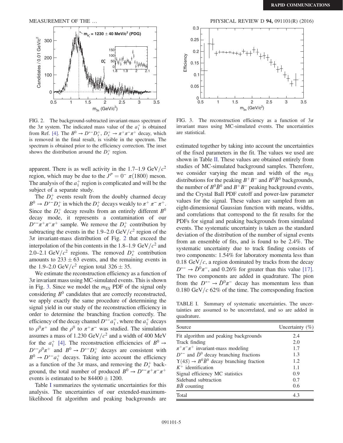<span id="page-5-0"></span>

FIG. 2. The background-subtracted invariant-mass spectrum of the  $3\pi$  system. The indicated mass value of the  $a_1^+$  is obtained from Ref. [\[4\]](#page-7-3). The  $B^0 \to D^{*-}D_s^+$ ,  $D_s^+ \to \pi^+\pi^-\pi^+$  decay, which is removed in the final result, is visible in the spectrum. The spectrum is obtained prior to the efficiency correction. The inset shows the distribution around the  $D_s^+$  region.

apparent. There is as well activity in the 1.7–1.9 GeV/ $c^2$ region, which may be due to the  $J<sup>P</sup> = 0^- \pi(1800)$  meson. The analysis of the  $a_1^+$  region is complicated and will be the subject of a separate study.

The  $D_s^+$  events result from the doubly charmed decay  $B^0 \to D^{*-}D_s^+$  in which the  $D_s^+$  decays weakly to  $\pi^+ \pi^- \pi^+$ . Since the  $D_s^+$  decay results from an entirely different  $B^0$ decay mode, it represents a contamination of our  $D^{*-}\pi^+\pi^-\pi^+$  sample. We remove the  $D_s^+$  contribution by subtracting the events in the 1.9–2.0 GeV/ $c^2$  region of the  $3\pi$  invariant-mass distribution of Fig. [2](#page-5-0) that exceed the interpolation of the bin contents in the 1.8–1.9 GeV/ $c^2$  and 2.0–2.1 GeV/ $c^2$  regions. The removed  $D_s^+$  contribution amounts to  $233 \pm 63$  events, and the remaining events in the 1.9–2.0 GeV/ $c^2$  region total 326  $\pm$  35.

We estimate the reconstruction efficiency as a function of  $3\pi$  invariant mass using MC-simulated events. This is shown in Fig. [3](#page-5-1). Since we model the  $m_{ES}$  PDF of the signal only considering  $B^0$  candidates that are correctly reconstructed, we apply exactly the same procedure of determining the signal yield in our study of the reconstruction efficiency in order to determine the branching fraction correctly. The efficiency of the decay channel  $D^{*-}a_1^+$ , where the  $a_1^+$  decays to  $\rho^0 \pi^+$  and the  $\rho^0$  to  $\pi^+ \pi^-$  was studied. The simulation assumes a mass of 1.230 GeV/ $c<sup>2</sup>$  and a width of 400 MeV for the  $a_1^+$  [\[4\].](#page-7-3) The reconstruction efficiencies of  $B^0 \rightarrow$  $D^{*-}\rho^0\pi^+$  and  $B^0 \to D^{*-}D_s^+$  decays are consistent with  $B^0 \rightarrow D^{*-}a_1^+$  decays. Taking into account the efficiency as a function of the  $3\pi$  mass, and removing the  $D_s^+$  background, the total number of produced  $B^0 \to D^{*-} \pi^+ \pi^- \pi^+$ events is estimated to be  $84400 \pm 1200$ .

Table [I](#page-5-2) summarizes the systematic uncertainties for this analysis. The uncertainties of our extended-maximumlikelihood fit algorithm and peaking backgrounds are



<span id="page-5-1"></span>FIG. 3. The reconstruction efficiency as a function of  $3\pi$ invariant mass using MC-simulated events. The uncertainties are statistical.

estimated together by taking into account the uncertainties of the fixed parameters in the fit. The values we used are shown in Table [II.](#page-6-0) These values are obtained entirely from studies of MC-simulated background samples. Therefore, we consider varying the mean and width of the  $m_{ES}$ distributions for the peaking  $B^+B^-$  and  $B^0\bar{B}^0$  backgrounds, the number of  $B^0\overline{B}{}^0$  and  $B^+B^-$  peaking background events, and the Crystal Ball PDF cutoff and power-law parameter values for the signal. These values are sampled from an eight-dimensional Gaussian function with means, widths, and correlations that correspond to the fit results for the PDFs for signal and peaking backgrounds from simulated events. The systematic uncertainty is taken as the standard deviation of the distribution of the number of signal events from an ensemble of fits, and is found to be 2.4%. The systematic uncertainty due to track finding consists of two components: 1.54% for laboratory momenta less than 0.18 GeV/ $c$ , a region dominated by tracks from the decay  $D^{*-} \rightarrow \bar{D}^0 \pi^-$ , and 0.26% for greater than this value [\[17\]](#page-7-15). The two components are added in quadrature. The pion from the  $D^{*-} \to \bar{D}^0 \pi^-$  decay has momentum less than 0.180 GeV/ $c$  62% of the time. The corresponding fraction

<span id="page-5-2"></span>TABLE I. Summary of systematic uncertainties. The uncertainties are assumed to be uncorrelated, and so are added in quadrature.

| Source                                                            | Uncertainty $(\%)$ |
|-------------------------------------------------------------------|--------------------|
| Fit algorithm and peaking backgrounds                             | 2.4                |
| Track finding                                                     | 2.0                |
| $\pi^+\pi^-\pi^+$ invariant-mass modeling                         | 1.7                |
| $D^{*-}$ and $\bar{D}^0$ decay branching fractions                | 1.3                |
| $\Upsilon(4S) \rightarrow B^0 \bar{B}^0$ decay branching fraction | 1.2.               |
| $K^+$ identification                                              | 1.1                |
| Signal efficiency MC statistics                                   | 0.9                |
| Sideband subtraction                                              | 0.7                |
| BB counting                                                       | 0.6                |
| Total                                                             | 4.3                |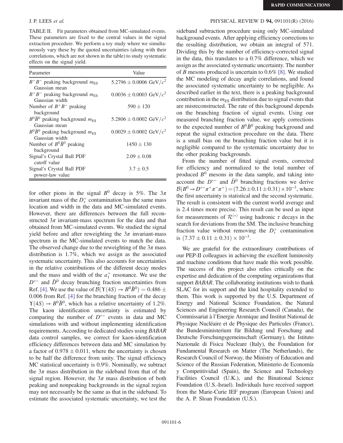<span id="page-6-0"></span>TABLE II. Fit parameters obtained from MC-simulated events. These parameters are fixed to the central values in the signal extraction procedure. We perform a toy study where we simultaneously vary these by the quoted uncertainties (along with their correlations, which are not shown in the table) to study systematic effects on the signal yield.

| Parameter                                         | Value                               |  |
|---------------------------------------------------|-------------------------------------|--|
| $B^+B^-$ peaking background $m_{\text{ES}}$       | 5.2796 $\pm$ 0.0006 GeV/ $c^2$      |  |
| Gaussian mean                                     |                                     |  |
| $B^+B^-$ peaking background $m_{FS}$              | $0.0036 \pm 0.0003$ GeV/ $c^2$      |  |
| Gaussian width                                    |                                     |  |
| Number of $B^+B^-$ peaking                        | $590 \pm 120$                       |  |
| background                                        |                                     |  |
| $B^0\bar{B}^0$ peaking background $m_{\text{ES}}$ | 5.2806 $\pm$ 0.0002 GeV/ $c^2$      |  |
| Gaussian mean                                     |                                     |  |
| $B^0\bar{B}^0$ peaking background $m_{\text{ES}}$ | $0.0029 \pm 0.0002 \text{ GeV}/c^2$ |  |
| Gaussian width                                    |                                     |  |
| Number of $B^0\bar{B}^0$ peaking                  | $1450 \pm 130$                      |  |
| background                                        |                                     |  |
| Signal's Crystal Ball PDF                         | $2.09 \pm 0.08$                     |  |
| cutoff value                                      |                                     |  |
| Signal's Crystal Ball PDF                         | $3.7 \pm 0.5$                       |  |
| power-law value                                   |                                     |  |

for other pions in the signal  $B^0$  decay is 5%. The  $3\pi$ invariant mass of the  $D_s^+$  contamination has the same mass location and width in the data and MC-simulated events. However, there are differences between the full reconstructed  $3\pi$  invariant-mass spectrum for the data and that obtained from MC-simulated events. We studied the signal yield before and after reweighting the  $3\pi$  invariant-mass spectrum in the MC-simulated events to match the data. The observed change due to the reweighting of the  $3\pi$  mass distribution is 1.7%, which we assign as the associated systematic uncertainty. This also accounts for uncertainties in the relative contributions of the different decay modes and the mass and width of the  $a_1^+$  resonance. We use the  $D^{*-}$  and  $\bar{D}^0$  decay branching fraction uncertainties from Ref. [\[4\].](#page-7-3) We use the value of  $\mathcal{B}(\Upsilon(4S) \rightarrow B^0 \overline{B}^0) = 0.486 \pm$ 0.006 from Ref. [\[4\]](#page-7-3) for the branching fraction of the decay  $\Upsilon(4S) \rightarrow B^0 \bar{B}^0$ , which has a relative uncertainty of 1.2%. The kaon identification uncertainty is estimated by comparing the number of  $D^{*-}$  events in data and MC simulations with and without implementing identification requirements. According to dedicated studies using BABAR data control samples, we correct for kaon-identification efficiency differences between data and MC simulation by a factor of  $0.978 \pm 0.011$ , where the uncertainty is chosen to be half the difference from unity. The signal efficiency MC statistical uncertainty is 0.9%. Nominally, we subtract the  $3\pi$  mass distribution in the sideband from that of the signal region. However, the  $3\pi$  mass distribution of both peaking and nonpeaking backgrounds in the signal region may not necessarily be the same as that in the sideband. To estimate the associated systematic uncertainty, we test the

## J. P. LEES et al. PHYSICAL REVIEW D 94, 091101(R) (2016)

sideband subtraction procedure using only MC-simulated background events. After applying efficiency corrections to the resulting distribution, we obtain an integral of 571. Dividing this by the number of efficiency-corrected signal in the data, this translates to a 0.7% difference, which we assign as the associated systematic uncertainty. The number of B mesons produced is uncertain to 0.6% [\[8\].](#page-7-6) We studied the MC modeling of decay angle correlations, and found the associated systematic uncertainty to be negligible. As described earlier in the text, there is a peaking background contribution in the  $m<sub>ES</sub>$  distribution due to signal events that are misreconstructed. The rate of this background depends on the branching fraction of signal events. Using our measured branching fraction value, we apply corrections to the expected number of  $B^0\bar{B}^0$  peaking background and repeat the signal extraction procedure on the data. There is a small bias on the branching fraction value but it is negligible compared to the systematic uncertainty due to the other peaking backgrounds.

From the number of fitted signal events, corrected for efficiency and normalized to the total number of produced  $B^0$  mesons in the data sample, and taking into account the  $D^{*-}$  and  $\bar{D}^0$  branching fractions we derive  $\mathcal{B}(B^0 \to D^{*-}\pi^+\pi^-\pi^+) = (7.26 \pm 0.11 \pm 0.31) \times 10^{-3}$ , where the first uncertainty is statistical and the second systematic. The result is consistent with the current world average and is 2.4 times more precise. This result can be used as input for measurements of  $\mathcal{R}^{(*)}$  using hadronic  $\tau$  decays in the search for deviations from the SM. The inclusive branching fraction value without removing the  $D_s^+$  contamination is  $(7.37 \pm 0.11 \pm 0.31) \times 10^{-3}$ .

We are grateful for the extraordinary contributions of our PEP-II colleagues in achieving the excellent luminosity and machine conditions that have made this work possible. The success of this project also relies critically on the expertise and dedication of the computing organizations that support BABAR. The collaborating institutions wish to thank SLAC for its support and the kind hospitality extended to them. This work is supported by the U.S. Department of Energy and National Science Foundation, the Natural Sciences and Engineering Research Council (Canada), the Commissariat à l'Energie Atomique and Institut National de Physique Nucléaire et de Physique des Particules (France), the Bundesministerium für Bildung und Forschung and Deutsche Forschungsgemeinschaft (Germany), the Istituto Nazionale di Fisica Nucleare (Italy), the Foundation for Fundamental Research on Matter (The Netherlands), the Research Council of Norway, the Ministry of Education and Science of the Russian Federation, Ministerio de Economía y Competitividad (Spain), the Science and Technology Facilities Council (U.K.), and the Binational Science Foundation (U.S.-Israel). Individuals have received support from the Marie-Curie IEF program (European Union) and the A. P. Sloan Foundation (U.S.).